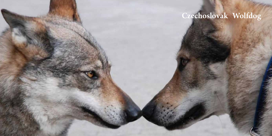# Czechoslovak Wolfdog

14 15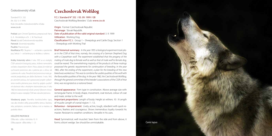### Československý vlčiak

Štandard FCI č. 332 (Nr. 332/ 3. 9. 1999) Klub chovateľov československého vlčiaka: www.csv.sk

Preklad: pani Christel Špániková, prepracovali Harry G. A. Hinckeldeyn a Dr. J. M. Paschoud Pôvod: bývalá Československá republika Patronát: Slovenská republika Použitie: Pracovný pes

Klasifikácia FCI: Skupina 1 – ovčiarske a pastierske psy; Sekcia 1 – ovčiarske psy so skúškou z výkonu

Krátky historický súhrn : *V roku 1955 sa vo vtedajšej ČSSR uskutočnil biologický pokus, kríženie nemeckého ovčiaka s karpatským vlkom. Pokus ukázal,že môže byť vychované potomstvo ako z párenia pes x vlčica, tak z párenia vlk x suka. Prevažná časť potomstva mala ge netické predpoklady pre ďalšie šľachtenie. V roku 1965, po ukončení pokusu, bol vypracovaný projekt vyšľach tenia nového plemena psov, ktoré by spájalo využiteľné vlastnosti vlka s vhodnými vlastnosťami psa. V roku 1982 bol československý vlčiak uznaný Výborom chova teľských zväzov vtedajšej ČSSR ako národné plemeno.*

Všeobecný popis: Pevného konštitučného typu, viac ako stredne veľký, pravouhlého rámca. Stavbou tela, pohybom, osrstením, farbou srsti a maskou sa podobá vlkovi.

#### DOLEZITE PROPORCIE

Dĺžka tela : výška v kohútiku 10 : 9

## Czechoslovak Wolfdog

F.C.I. Standard N° 332 / 03. 09. 1999 / GB Czechoslovak Wolfdog Breeders´ Club: www.csv.sk

Origin: Former Czechoslovak Republic Patronage: Slovak Republik. Date of publication of the valid original standard: 3. 9. 1999 Utilization: Working Dog. Classification F.C.I.: Group 1 - Sheepdogs and Cattle Dogs; Section 1 – Sheepdogs with Working Trial

Brief historical summary: *In the year 1955 a biological experiment took pla ce in the CSSR of that time, namely, the crossing of a German Shepherd Dog with a Carpathian wolf. The experiment established that the progeny of the mating of male dog to female wolf as well as that of male wolf to female dog, could be reared. The overwhelming majority of the products of these matings possessed the genetic requirements for continuation of breeding. In the year 1965, after the ending of the experiment, a plan for the breeding of this new breedwasworked out. Thiswasto combine the usable qualities of thewolfwith the favourable qualities of the dog. In the year 1982, the Czechoslovak Wolfdog, through the general committee of the breeder's associations of the CSSR of that time, was recognized as a national breed.*

General appearance: Firm type in constitution. Above average size with rectangular frame. In body shape, movement, coat texture, colour of coat and mask, similar to the wolf.

Important proportions: Length of body: Height at withers: 10 : 9 Length of muzzle: Length of cranial region: 1 : 1.5.

Behaviour - temperament: Lively, active, tough, obedient with quick reactions, fearless and courageous. Shows tremendous loyalty towards his master. Resistant to weather conditions. Versatile in his uses.

Head: Symmetrical, well muscled. Seen from the side and from above, it Dĺžka papule : dĺžka lebky 1 : 1,5 **Canis lupus blunt wedge. Sex should be unmistakable.** Canis **Canis lupus Canis lupus** 

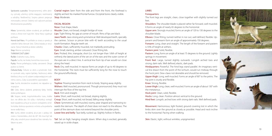Správanie a povaha: Temperamentný, veľmi aktívny, vytrvalý, učenlivý, rýchlo reagujúci, neohrozený a odvážny. Nedôverčivý. Svojmu pánovi prejavuje mimoriadnu vernosť. Odolný voči vplyvom počasia. Mnohostranne použiteľný.

Hlava: Symetrická, dobre osvalená, pri pohľade zo strany a zhora tvorí tupý klin. Výraz hlavy vyjadruje pohlavie.

Horná časť hlavy: Pri pohľade zo strany a spredu je viditeľné ľahko klenuté čelo. Čelná brázda je nevýrazná. Tylový hrbolček je dobre viditeľný.

Stop: Mierne vyznačený.

#### TVÁROVÁ ČASŤ LEBKY

Ňufák: Oválneho tvaru, čierny.

Papuľa: Suchá, nie široká, horná línia nosa rovná. Pysky: Pevne priliehajúce, kútiky zatvorené. Okraje pyskov sú čierne.

Čeľuste/Zuby: Čeľuste sú silné a symetrické. Dobre vyvinuté zuby, najmä špičiaky. Nožnicový alebo kliešťový zhryz so 42 zubami zodpovedajúcimi zubnému vzorcu. Zuby sú pravidelne usporiadané. Líce: Suché, dostatočne osvalené, nie nápadne vystupujúce.

Oči: Úzke, šikmo uložené, jantárovej farby. Viečka dobre priliehajúce.

Uši: Stojace, tenké, trojuholníkového tvaru, krátke (tzn. nie dlhšie ako 1/6 výšky v kohútiku); vonkajší bod nasadenia ucha je na úrovni vonkajšieho očného kútika. Kolmica spustená z vrcholu ucha prebieha tesne vedľa hlavy.

Krk: Suchý, dobre osvalený, ak je pes v pokoji, krk zviera s horizontálou uhol do 40°. Krk musí byť tak dlhý, aby umožnil psovi dosiahnuť bez námahy ňufákom na zem.

Cranial region: Seen from the side and from the front, the forehead is slightly arched. No marked frontal furrow. Occipital bone clearly visible. Stop: Moderate.

#### Facial region

#### Nose: Oval shape, black.

Muzzle: Clean, not broad, straight bridge of nose.

Lips: Tight fitting. No gap at corner of mouth. Rims of lips are black.

Jaws/Teeth: Jaws strong and symmetrical. Well developed teeth, specially the canines. Scissor or pincer bite with 42 teeth according to the usual tooth formation. Regular teeth set.

Cheeks: Clean, sufficiently muscled, not markedly protruding. Eyes: Small, slanting, amber coloured. Close fitting lids.

Ears: Pricked, thin, triangular, short (i.e. not longer than 1/6th of height at withers); the lateral point of the set on of the ears and the outer corner of the eyes are in a direct line. A vertical line from tip of ear would run close along the head.

Neck: Dry, well muscled. In repose forms an angle of up to 40 degrees to the horizontal. The neck must be sufficiently long for the nose to touch the ground effortlessly.

#### BODY

Topline: Flowing transition from neck to body. Sloping away slightly. Withers: Well muscled, pronounced. Though pronounced, they must not interrupt the flow of the top line.

#### Back: Firm and straight.

Loins: Short, well muscled, not broad, sloping slightly.

Croup: Short, well muscled, not broad, falling away slightly.

Chest: Symmetrical, well muscled, roomy, pear shaped and narrowing towards the sternum. The depth of chest does not reach to the elbows. The point of the sternum does not extend beyond the shoulder joints.

Lower line and belly: Taut belly, tucked up. Slightly hollow in flanks.

Tail: Set on high, hanging straight down. When dog is excited, generally raised up in sickle shape.

#### LIMBS

#### Forequarters:

The front legs are straight, clean, close together with slightly turned out feet.

Shoulders: The shoulder-blade is placed rather far forward, well muscled. It forms an angle of nearly 65 degrees to the horizontal.

Upper arm: Strongly muscled, forms an angle of 120 to 130 degrees to the shoulder-blade.

Elbows: Close fitting, turned neither in nor out, well defined, flexible. Upperarm and forearm form an angle of approximately 150 degrees. Forearm: Long, clean and straight. The length of the forearm and pastern is 55% of height at withers.

Pastern joint: Solid, flexible.

Pastern: Long, forms an angle of at least 75 degrees to the ground. Lightly springy in movement.

Front feet: Large, turned slightly outwards. Longish arched toes and strong, dark nails. Well defined, elastic, dark pads.

Hindquarters: Powerful. The hind legs stand parallel. An imaginary vertical line drawn from the point of the ischium, would run midway through the hock joint. Dew-claws not desirable and should be removed.

Upper thigh: Long, well muscled. Forms an angle of 80° to the pelvis. The hip joint is sturdy and flexible.

Knee: Strong, flexible.

Lower thigh: Long, clean, well muscled. Forms an angle of about 130° with the metatarsus.

Hock joint: Clean, solid, flexible.

Hocks: Long, clean. Position almost vertical to the ground.

Hind feet: Longish, arched toes with strong dark nails. Well defined pads.

Movement: Harmonious, light footed, ground covering trot in which the limbs skim over the ground as closely as possible. Head and neck incline to the horizontal. Pacing when walking.

Skin: Elastic, tight, without wrinkles, unpigmented.



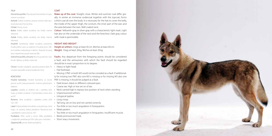#### **TRIIP**

#### **COAT**

Horná línia profilu: Plynulý prechod od krku k trupu, mierne sa znižuje.

- Kohútik: Dobre osvalený, výrazný, nesmie však naru -
- šovať plynulosť hornej línie.
- Chrbát: Pevný, rovný.
- sklonené.
- Zadok: Krátky, dobre osvalený, nie široký, mierne vith mask is permissible. sklonený.

Hrudník: Symetrický, dobre osvalený, priestorný, hruškovitého tvaru so zúžením k hrudnej kosti. Hĺb ka hrudníka nedosahuje k lakťom. Rukoväť hrudnej kosti neprečnieva pred ramenný kĺb.

Dolná línia profilu a brucho: Brucho je pevné a vtia hnuté. Slabiny sú ľahko vtiahnuté.

Chvost: Vysoko nasadený, spustený priamo dole. Pri Heavy or light head.<br>vzrušení spravidla nesený kosákovito hore. Flat forehead. vzrušení spravidla nesený kosákovito hore.

#### Končatiny

Hrudné končatiny: Hrudné končatiny sú rovné, pevné, suché, úzko postavené s mierne vybočenými labkami.

- trupu, je dobre osvalená. S horizontálou zviera uhol · Unpronounced withers. asi 65°.
- Rameno: Silne osvalené; s lopatkou zviera uhol · Long croup. 120–130°.
- Lakeť: Dobre prilieha k hrudníku a nevybočuje z línie trupu. Je výrazný, dobre pohyblivý. Ramenná kosť · Weak pastern. s predlaktím zviera uhol asi 150°.
- Predlaktie: Dlhé, suché a rovné. Dĺžka predlaktia s nadprstím predstavuje 55% výšky psa v kohútiku. Zápästný kĺb: pevný, dobre pohyblivý.

**Make up of the coat**: Straight, close. Winter and summer coat differ greatly. In winter an immense undercoat together with the topcoat, forms a thick coat all over the body. It is necessary for the hair to cover the belly, the inside of the upper thigh, the scrotum, the inner part of the ears and the area between the toes. Well coated neck.

Bedrá: Krátke, dobre osvalené, nie široké, mierne **Colour: Yellowish-gray to silver-gray with a characteristic light mask. Light** hair also on the underside of the neck and the forechest. Dark gray colour

#### HEIGHT AND WEIGHT

Height at withers: Dogs at least 65 cm. Bitches at least 60 cm. Weight: Dogs at least 26 kg. Bitches at least 20 kg.

Faults: Any departure from the foregoing points should be considered a fault, and the seriousness with which the fault should be regarded should be in exact proportion to its degree.

- 
- Missing 2 PM1 or both M3 sould not be consided as a fault. If additional ly for missing two PM1 also one M3 is missing or for missing M3 also one PM1 is missing, it should be judged as a fault.
- Dark brown, black or different coloured eyes.
- Coarse ear. High or low set on of ear.
- Lopatka: Lopatka je uložená viac v prednej časti · Neck carried high in repose; low position of neck when standing.
	-
	- Untypical topline.
	- - Tail long, set on low and not carried correctly.
	- Too little or too much angulation in forequarters.
	-
	- Too little or too much angulation in hinquarters. Insufficient muscle.
	- Barely pronounced mask.
	- Short wavy movement.

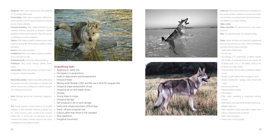Nadprstie: Dlhé, tvorí s rovinou zeme uhol najmenej 75°. Pri pohybe ľahko pruží.

Predné labky: Veľké; mierne vybočené, s dlhšími kle nutými prstami a silnými tmavými pazúrmi. Výrazné, pružné, tmavé vankúšiky.

Panvové končatiny: Silné. Zadné končatiny sú rov nobežné. Kolmica spustená zo sedacích hrboľov prebieha stredom priehlavkového kĺba. Vlčie pazúry sú nežiaduce a musia sa odstrániť.

Stehno: Dlhé, dobre osvalené; stehenná kosť zviera s panvou uhol asi 80°. Bedrový kĺb je stabilný a dobre pohyblivý.

Koleno: Silné, dobre pohyblivé.

Predkolenie: Dlhé, suché, dobre osvalené; s priehlav kom zviera uhol asi 130°.

Priehlavkový kĺb: Suchý, silný, dobre pohyblivý. Priehlavok: Dlhý, suchý, smeruje takmer kolmo k zemi.

Zadné labky: Dlhšie klenuté prsty so silnými tmavý mi pazúrmi. Výrazné vankúšiky.

Mechanika pohybu: Harmonický, ľahký, priestranný klus, pričom končatiny sa pohybujú čo najnižšie nad zemou. Hlava a krk sa skláňajú do vodorovnej polo hy. V chôdzi je mimochod.

Koža: Elastická, pevná, bez zvrásnenia; nepigmen tovaná.

vnútornú časť stehien, miešok, vnútornú časť ušnice · Untypical movement. Srsť: Rovná, uzavretá. Zimná a letná srsť je výrazne rozdielna. V zime prevláda mohutná podsada, kto rá s vrchnou krycou srsťou vytvára husté osrstenie celého tela. Je nutné, aby srsť pokrývala brucho, a medziprstie. Krk je dobre osrstený.



#### Disqualifying faults :

- Aggresive or overly shy.
- Discrepancy in proportions.
- 
- 
- Faults in deportment and temperament.<br>• Untypical head.<br>• Missing teeth (beside 2 PM1 and M3, see § FAULTS). Irregular bite.<br>• Untypical shape and position of eye.
- 
- Untypical set on and shape of ears.

• Dewlap.

- Strong slope in croup.
	-
	-
- Untypical ribcage.<br>• Tail untypical in set on and carriage.<br>• Faulty and untypical position of front legs.
- Stand -off and untypical coat.
- Colours other than those in the standard.
- Slack ligaments.
- 





Farba srsti: Žltosivá až striebristosivá s charakteristic kou svetlou maskou. Svetlá srsť musí byť aj na spod nej časti krku a na prednej hrudi. Prípustné je tmavo sivé sfarbenie so svetlou maskou.

Výška a váha :

Výška v kohútiku: Psy najmenej 65 cm, suky najme nej 60 cm.

Váha: Psy najmenej 26 kg, suky najmenej 20 kg.

Chyby: Každá odchýlka od uvedených požiadaviek musí byť považovaná za chybu, ktorej hodnotenie musí byť úmerné stupňu odchýlky. • Ťažká alebo ľahká hlava.

- 
- Ploché čelo.

• Ak chýbajú 2 P1 (premoláry 1) alebo obidve M3 (moláry 3), nehodnotí sa to ako chyba. Ak chýbajú spolu 2 P1 a 1 M3 alebo 2 M3 a 1 P1, hodnotí sa to ako chyba.

- Tmavohnedé, čierne alebo rozdielne sfarbe né oči.
- Hrubé, vysoko alebo nízko nasadené ucho.
- Vysoko nesený krk v pokoji, nízko nesený krk v stoji.
- Nevýrazný kohútik.
- Netypická línia chrbta.
- Dlhý zadok.
- Dlhý, nízko nasadený a nesprávne nesený chvost.
- Málo alebo silne zauhlené predné končatiny.
- Mäkké nadprstie.
- Málo zauhlené alebo preuhlené zadné končatiny; nedostatočné osvalenie.
- Málo výrazná maska.
- Krátky krok a vlnitý pohyb.